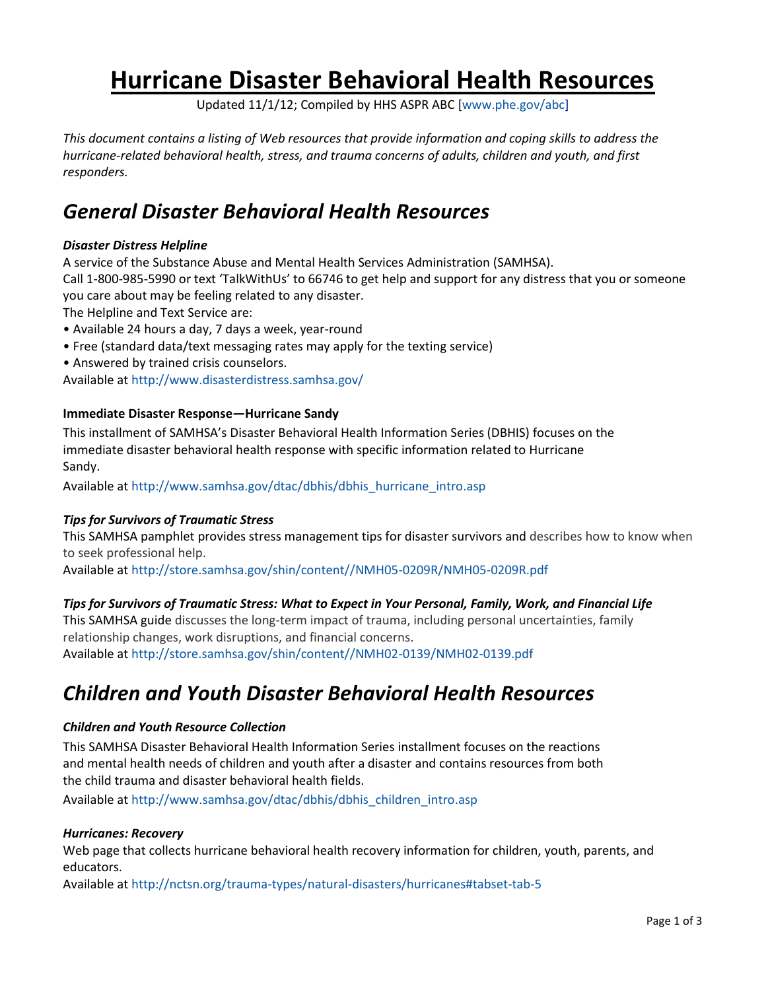# **Hurricane Disaster Behavioral Health Resources**

Updated 11/1/12; Compiled by HHS ASPR ABC [\[www.phe.gov/abc\]](http://www.phe.gov/abc)

*This document contains a listing of Web resources that provide information and coping skills to address the hurricane-related behavioral health, stress, and trauma concerns of adults, children and youth, and first responders.*

### *General Disaster Behavioral Health Resources*

#### *Disaster Distress Helpline*

A service of the Substance Abuse and Mental Health Services Administration (SAMHSA). Call 1-800-985-5990 or text 'TalkWithUs' to 66746 to get help and support for any distress that you or someone

you care about may be feeling related to any disaster.

The Helpline and Text Service are:

- Available 24 hours a day, 7 days a week, year-round
- Free (standard data/text messaging rates may apply for the texting service)
- Answered by trained crisis counselors.

Available at<http://www.disasterdistress.samhsa.gov/>

#### **Immediate Disaster Response—Hurricane Sandy**

This installment of SAMHSA's Disaster Behavioral Health Information Series (DBHIS) focuses on the immediate disaster behavioral health response with specific information related to Hurricane Sandy.

Available at [http://www.samhsa.gov/dtac/dbhis/dbhis\\_hurricane\\_intro.asp](http://www.samhsa.gov/dtac/dbhis/dbhis_hurricane_intro.asp)

#### *Tips for Survivors of Traumatic Stress*

This SAMHSA pamphlet provides stress management tips for disaster survivors and describes how to know when to seek professional help.

Available at [http://store.samhsa.gov/shin/content//NMH05-0209R/NMH05-0209R.pdf](http://store.samhsa.gov/shin/content/NMH05-0209R/NMH05-0209R.pdf)

#### *Tips for Survivors of Traumatic Stress: What to Expect in Your Personal, Family, Work, and Financial Life*

This SAMHSA guide discusses the long-term impact of trauma, including personal uncertainties, family relationship changes, work disruptions, and financial concerns.

Available at [http://store.samhsa.gov/shin/content//NMH02-0139/NMH02-0139.pdf](http://store.samhsa.gov/shin/content/NMH02-0139/NMH02-0139.pdf)

### *Children and Youth Disaster Behavioral Health Resources*

#### *Children and Youth Resource Collection*

This SAMHSA Disaster Behavioral Health Information Series installment focuses on the reactions and mental health needs of children and youth after a disaster and contains resources from both the child trauma and disaster behavioral health fields.

Available at [http://www.samhsa.gov/dtac/dbhis/dbhis\\_children\\_intro.asp](http://www.samhsa.gov/dtac/dbhis/dbhis_children_intro.asp)

#### *Hurricanes: Recovery*

Web page that collects hurricane behavioral health recovery information for children, youth, parents, and educators.

Available at<http://nctsn.org/trauma-types/natural-disasters/hurricanes#tabset-tab-5>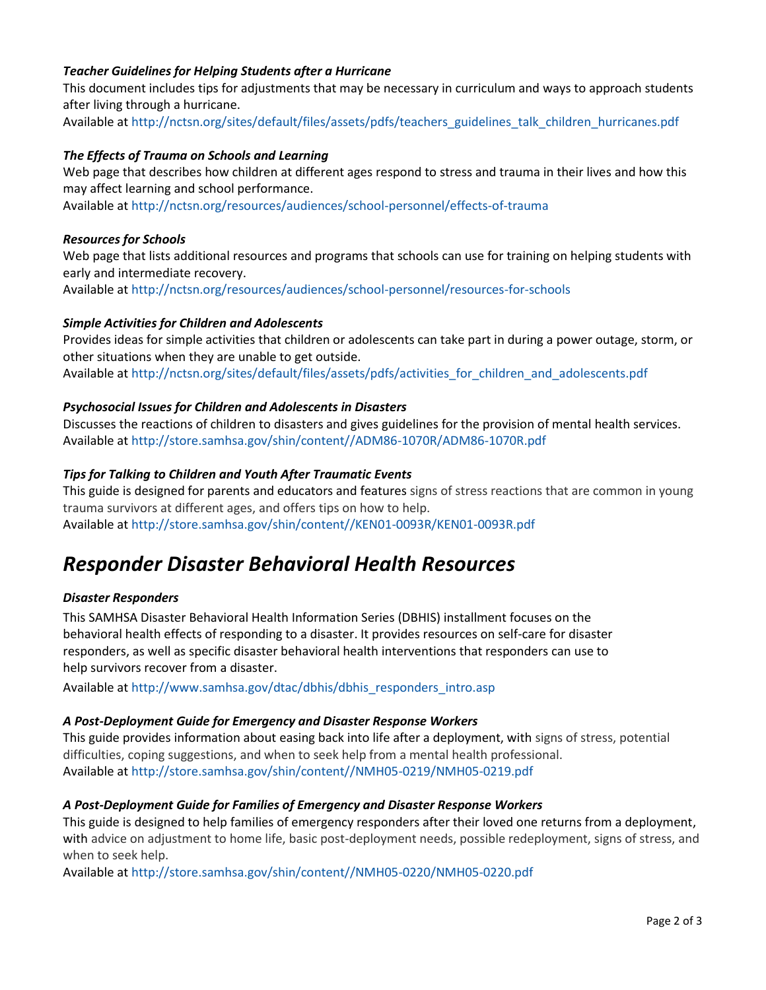#### *Teacher Guidelines for Helping Students after a Hurricane*

This document includes tips for adjustments that may be necessary in curriculum and ways to approach students after living through a hurricane.

Available at [http://nctsn.org/sites/default/files/assets/pdfs/teachers\\_guidelines\\_talk\\_children\\_hurricanes.pdf](http://nctsn.org/sites/default/files/assets/pdfs/teachers_guidelines_talk_children_hurricanes.pdf)

#### *The Effects of Trauma on Schools and Learning*

Web page that describes how children at different ages respond to stress and trauma in their lives and how this may affect learning and school performance.

Available at<http://nctsn.org/resources/audiences/school-personnel/effects-of-trauma>

#### *Resources for Schools*

Web page that lists additional resources and programs that schools can use for training on helping students with early and intermediate recovery. Available at<http://nctsn.org/resources/audiences/school-personnel/resources-for-schools>

### *Simple Activities for Children and Adolescents*

Provides ideas for simple activities that children or adolescents can take part in during a power outage, storm, or other situations when they are unable to get outside. Available at [http://nctsn.org/sites/default/files/assets/pdfs/activities\\_for\\_children\\_and\\_adolescents.pdf](http://nctsn.org/sites/default/files/assets/pdfs/activities_for_children_and_adolescents.pdf)

#### *Psychosocial Issues for Children and Adolescents in Disasters*

Discusses the reactions of children to disasters and gives guidelines for the provision of mental health services. Available at [http://store.samhsa.gov/shin/content//ADM86-1070R/ADM86-1070R.pdf](http://store.samhsa.gov/shin/content/ADM86-1070R/ADM86-1070R.pdf)

#### *Tips for Talking to Children and Youth After Traumatic Events*

This guide is designed for parents and educators and features signs of stress reactions that are common in young trauma survivors at different ages, and offers tips on how to help. Available at [http://store.samhsa.gov/shin/content//KEN01-0093R/KEN01-0093R.pdf](http://store.samhsa.gov/shin/content/KEN01-0093R/KEN01-0093R.pdf)

### *Responder Disaster Behavioral Health Resources*

#### *Disaster Responders*

This SAMHSA Disaster Behavioral Health Information Series (DBHIS) installment focuses on the behavioral health effects of responding to a disaster. It provides resources on self-care for disaster responders, as well as specific disaster behavioral health interventions that responders can use to help survivors recover from a disaster.

Available at [http://www.samhsa.gov/dtac/dbhis/dbhis\\_responders\\_intro.asp](http://www.samhsa.gov/dtac/dbhis/dbhis_responders_intro.asp)

#### *A Post-Deployment Guide for Emergency and Disaster Response Workers*

This guide provides information about easing back into life after a deployment, with signs of stress, potential difficulties, coping suggestions, and when to seek help from a mental health professional. Available at [http://store.samhsa.gov/shin/content//NMH05-0219/NMH05-0219.pdf](http://store.samhsa.gov/shin/content/NMH05-0219/NMH05-0219.pdf)

#### *A Post-Deployment Guide for Families of Emergency and Disaster Response Workers*

This guide is designed to help families of emergency responders after their loved one returns from a deployment, with advice on adjustment to home life, basic post-deployment needs, possible redeployment, signs of stress, and when to seek help.

Available at [http://store.samhsa.gov/shin/content//NMH05-0220/NMH05-0220.pdf](http://store.samhsa.gov/shin/content/NMH05-0220/NMH05-0220.pdf)